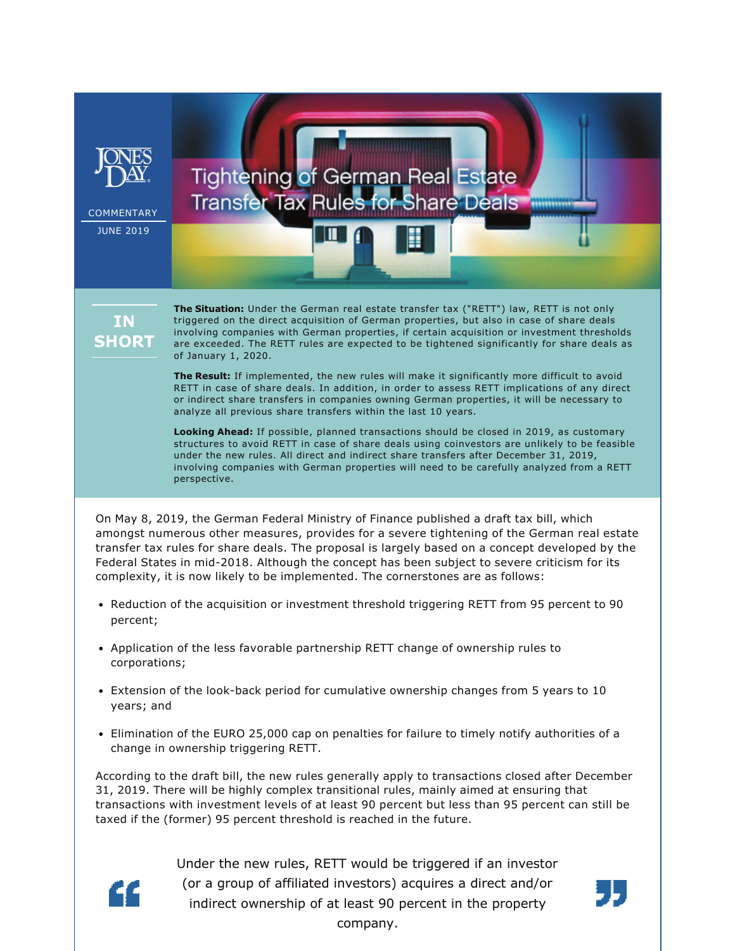

are exceeded. The RETT rules are expected to be tightened significantly for share deals as of January 1, 2020. **The Result:** If implemented, the new rules will make it significantly more difficult to avoid

RETT in case of share deals. In addition, in order to assess RETT implications of any direct or indirect share transfers in companies owning German properties, it will be necessary to analyze all previous share transfers within the last 10 years.

**Looking Ahead:** If possible, planned transactions should be closed in 2019, as customary structures to avoid RETT in case of share deals using coinvestors are unlikely to be feasible under the new rules. All direct and indirect share transfers after December 31, 2019, involving companies with German properties will need to be carefully analyzed from a RETT perspective.

On May 8, 2019, the German Federal Ministry of Finance published a draft tax bill, which amongst numerous other measures, provides for a severe tightening of the German real estate transfer tax rules for share deals. The proposal is largely based on a concept developed by the Federal States in mid-2018. Although the concept has been subject to severe criticism for its complexity, it is now likely to be implemented. The cornerstones are as follows:

- Reduction of the acquisition or investment threshold triggering RETT from 95 percent to 90 percent;
- Application of the less favorable partnership RETT change of ownership rules to corporations;
- Extension of the look-back period for cumulative ownership changes from 5 years to 10 years; and
- Elimination of the EURO 25,000 cap on penalties for failure to timely notify authorities of a change in ownership triggering RETT.

According to the draft bill, the new rules generally apply to transactions closed after December 31, 2019. There will be highly complex transitional rules, mainly aimed at ensuring that transactions with investment levels of at least 90 percent but less than 95 percent can still be taxed if the (former) 95 percent threshold is reached in the future.



Under the new rules, RETT would be triggered if an investor (or a group of affiliated investors) acquires a direct and/or indirect ownership of at least 90 percent in the property company.

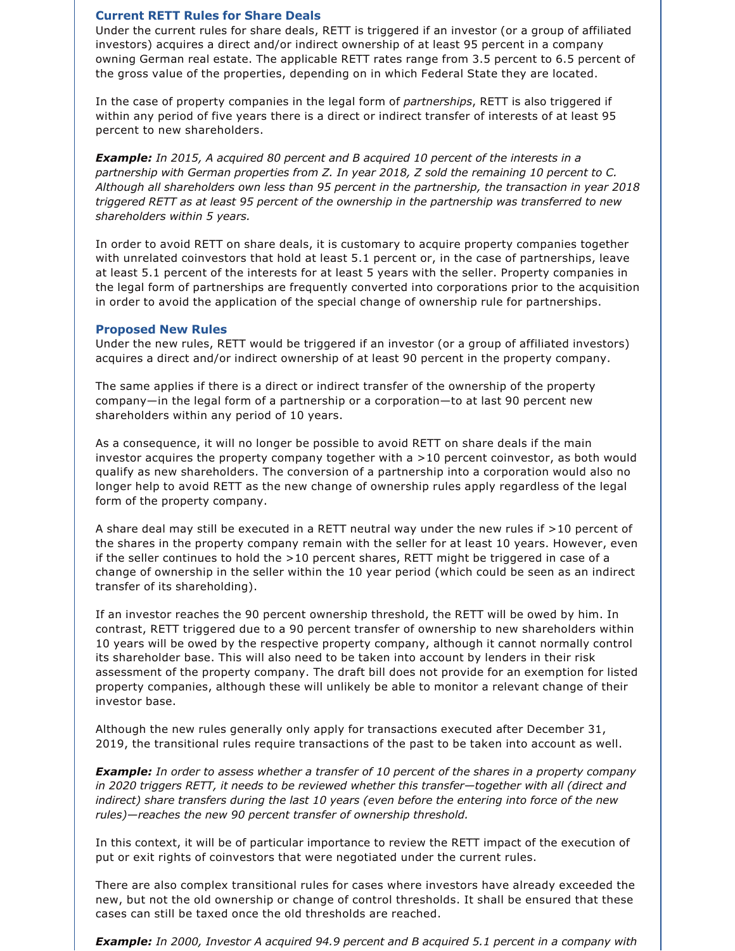## **Current RETT Rules for Share Deals**

Under the current rules for share deals, RETT is triggered if an investor (or a group of affiliated investors) acquires a direct and/or indirect ownership of at least 95 percent in a company owning German real estate. The applicable RETT rates range from 3.5 percent to 6.5 percent of the gross value of the properties, depending on in which Federal State they are located.

In the case of property companies in the legal form of *partnerships*, RETT is also triggered if within any period of five years there is a direct or indirect transfer of interests of at least 95 percent to new shareholders.

*Example: In 2015, A acquired 80 percent and B acquired 10 percent of the interests in a partnership with German properties from Z. In year 2018, Z sold the remaining 10 percent to C. Although all shareholders own less than 95 percent in the partnership, the transaction in year 2018 triggered RETT as at least 95 percent of the ownership in the partnership was transferred to new shareholders within 5 years.*

In order to avoid RETT on share deals, it is customary to acquire property companies together with unrelated coinvestors that hold at least 5.1 percent or, in the case of partnerships, leave at least 5.1 percent of the interests for at least 5 years with the seller. Property companies in the legal form of partnerships are frequently converted into corporations prior to the acquisition in order to avoid the application of the special change of ownership rule for partnerships.

## **Proposed New Rules**

Under the new rules, RETT would be triggered if an investor (or a group of affiliated investors) acquires a direct and/or indirect ownership of at least 90 percent in the property company.

The same applies if there is a direct or indirect transfer of the ownership of the property company—in the legal form of a partnership or a corporation—to at last 90 percent new shareholders within any period of 10 years.

As a consequence, it will no longer be possible to avoid RETT on share deals if the main investor acquires the property company together with a >10 percent coinvestor, as both would qualify as new shareholders. The conversion of a partnership into a corporation would also no longer help to avoid RETT as the new change of ownership rules apply regardless of the legal form of the property company.

A share deal may still be executed in a RETT neutral way under the new rules if >10 percent of the shares in the property company remain with the seller for at least 10 years. However, even if the seller continues to hold the >10 percent shares, RETT might be triggered in case of a change of ownership in the seller within the 10 year period (which could be seen as an indirect transfer of its shareholding).

If an investor reaches the 90 percent ownership threshold, the RETT will be owed by him. In contrast, RETT triggered due to a 90 percent transfer of ownership to new shareholders within 10 years will be owed by the respective property company, although it cannot normally control its shareholder base. This will also need to be taken into account by lenders in their risk assessment of the property company. The draft bill does not provide for an exemption for listed property companies, although these will unlikely be able to monitor a relevant change of their investor base.

Although the new rules generally only apply for transactions executed after December 31, 2019, the transitional rules require transactions of the past to be taken into account as well.

*Example: In order to assess whether a transfer of 10 percent of the shares in a property company in 2020 triggers RETT, it needs to be reviewed whether this transfer—together with all (direct and indirect) share transfers during the last 10 years (even before the entering into force of the new rules)—reaches the new 90 percent transfer of ownership threshold.*

In this context, it will be of particular importance to review the RETT impact of the execution of put or exit rights of coinvestors that were negotiated under the current rules.

There are also complex transitional rules for cases where investors have already exceeded the new, but not the old ownership or change of control thresholds. It shall be ensured that these cases can still be taxed once the old thresholds are reached.

*Example: In 2000, Investor A acquired 94.9 percent and B acquired 5.1 percent in a company with*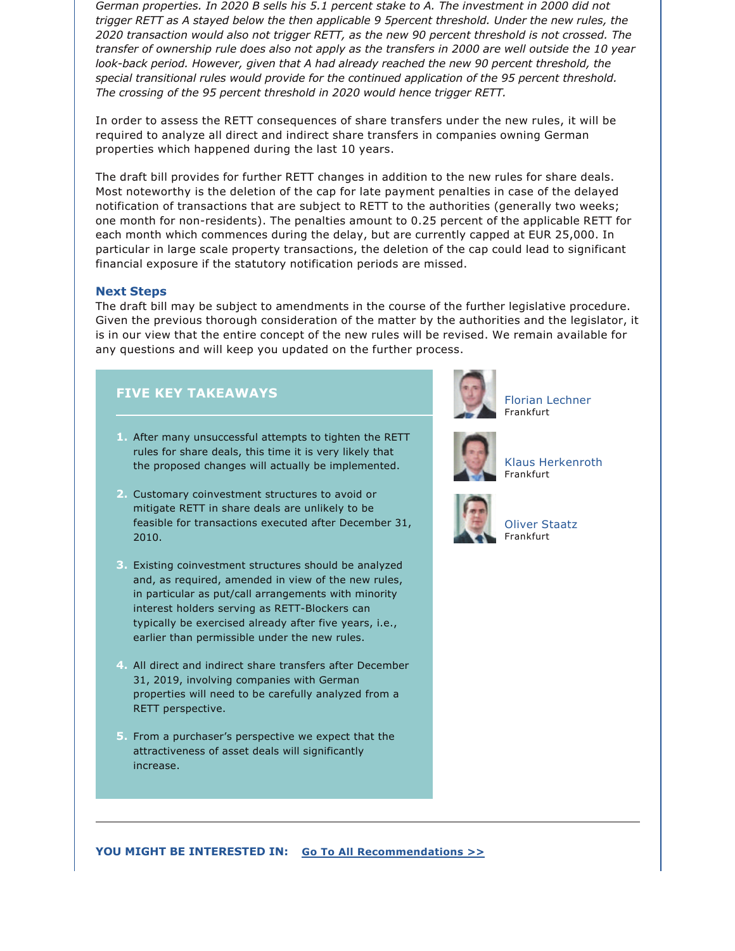*German properties. In 2020 B sells his 5.1 percent stake to A. The investment in 2000 did not trigger RETT as A stayed below the then applicable 9 5percent threshold. Under the new rules, the 2020 transaction would also not trigger RETT, as the new 90 percent threshold is not crossed. The transfer of ownership rule does also not apply as the transfers in 2000 are well outside the 10 year*  look-back period. However, given that A had already reached the new 90 percent threshold, the *special transitional rules would provide for the continued application of the 95 percent threshold. The crossing of the 95 percent threshold in 2020 would hence trigger RETT.*

In order to assess the RETT consequences of share transfers under the new rules, it will be required to analyze all direct and indirect share transfers in companies owning German properties which happened during the last 10 years.

The draft bill provides for further RETT changes in addition to the new rules for share deals. Most noteworthy is the deletion of the cap for late payment penalties in case of the delayed notification of transactions that are subject to RETT to the authorities (generally two weeks; one month for non-residents). The penalties amount to 0.25 percent of the applicable RETT for each month which commences during the delay, but are currently capped at EUR 25,000. In particular in large scale property transactions, the deletion of the cap could lead to significant financial exposure if the statutory notification periods are missed.

## **Next Steps**

The draft bill may be subject to amendments in the course of the further legislative procedure. Given the previous thorough consideration of the matter by the authorities and the legislator, it is in our view that the entire concept of the new rules will be revised. We remain available for any questions and will keep you updated on the further process.

## **FIVE KEY TAKEAWAYS**

- **1.** After many unsuccessful attempts to tighten the RETT rules for share deals, this time it is very likely that the proposed changes will actually be implemented.
- **2.** Customary coinvestment structures to avoid or mitigate RETT in share deals are unlikely to be feasible for transactions executed after December 31, 2010.
- **3.** Existing coinvestment structures should be analyzed and, as required, amended in view of the new rules, in particular as put/call arrangements with minority interest holders serving as RETT-Blockers can typically be exercised already after five years, i.e., earlier than permissible under the new rules.
- **4.** All direct and indirect share transfers after December 31, 2019, involving companies with German properties will need to be carefully analyzed from a RETT perspective.
- **5.** From a purchaser's perspective we expect that the attractiveness of asset deals will significantly increase.



[Florian Lechner](https://www.jonesday.com/flechner/) Frankfurt



[Klaus Herkenroth](https://www.jonesday.com/kherkenroth/) Frankfurt



[Oliver Staatz](https://www.jonesday.com/ostaatz/) Frankfurt

**YOU MIGHT BE INTERESTED IN: [Go To All Recommendations >>](https://www.jonesday.com/tax/?section=Publications)**